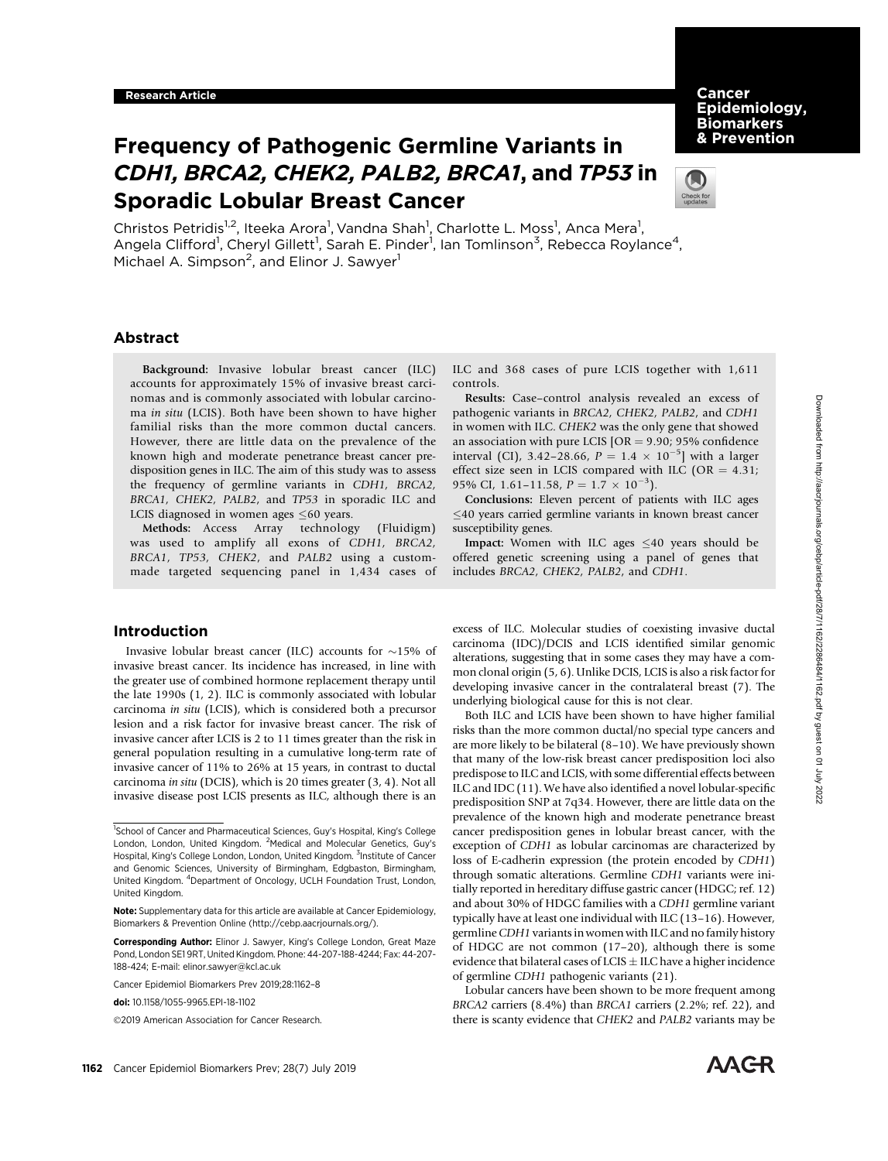# **Cancer** Epidemiology, **Biomarkers** & Prevention

# Frequency of Pathogenic Germline Variants in CDH1, BRCA2, CHEK2, PALB2, BRCA1, and TP53 in Sporadic Lobular Breast Cancer



Christos Petridis<sup>1,2</sup>, Iteeka Arora<sup>1</sup>, Vandna Shah<sup>1</sup>, Charlotte L. Moss<sup>1</sup>, Anca Mera<sup>1</sup>, Angela Clifford<sup>1</sup>, Cheryl Gillett<sup>1</sup>, Sarah E. Pinder<sup>1</sup>, Ian Tomlinson<sup>3</sup>, Rebecca Roylance<sup>4</sup>, Michael A. Simpson<sup>2</sup>, and Elinor J. Sawyer<sup>1</sup>

controls.

# Abstract

Background: Invasive lobular breast cancer (ILC) accounts for approximately 15% of invasive breast carcinomas and is commonly associated with lobular carcinoma in situ (LCIS). Both have been shown to have higher familial risks than the more common ductal cancers. However, there are little data on the prevalence of the known high and moderate penetrance breast cancer predisposition genes in ILC. The aim of this study was to assess the frequency of germline variants in CDH1, BRCA2, BRCA1, CHEK2, PALB2, and TP53 in sporadic ILC and LCIS diagnosed in women ages  $\leq 60$  years.

Methods: Access Array technology (Fluidigm) was used to amplify all exons of CDH1, BRCA2, BRCA1, TP53, CHEK2, and PALB2 using a custommade targeted sequencing panel in 1,434 cases of

# Introduction

Invasive lobular breast cancer (ILC) accounts for  $\sim$ 15% of invasive breast cancer. Its incidence has increased, in line with the greater use of combined hormone replacement therapy until the late 1990s (1, 2). ILC is commonly associated with lobular carcinoma in situ (LCIS), which is considered both a precursor lesion and a risk factor for invasive breast cancer. The risk of invasive cancer after LCIS is 2 to 11 times greater than the risk in general population resulting in a cumulative long-term rate of invasive cancer of 11% to 26% at 15 years, in contrast to ductal carcinoma in situ (DCIS), which is 20 times greater (3, 4). Not all invasive disease post LCIS presents as ILC, although there is an

pathogenic variants in BRCA2, CHEK2, PALB2, and CDH1 in women with ILC. CHEK2 was the only gene that showed an association with pure LCIS  $[OR = 9.90; 95\%$  confidence

95% CI, 1.61-11.58,  $P = 1.7 \times 10^{-3}$ . Conclusions: Eleven percent of patients with ILC ages  $\leq$ 40 years carried germline variants in known breast cancer susceptibility genes.

interval (CI), 3.42–28.66,  $P = 1.4 \times 10^{-5}$ ] with a larger effect size seen in LCIS compared with ILC (OR  $=$  4.31;

ILC and 368 cases of pure LCIS together with 1,611

Results: Case–control analysis revealed an excess of

Impact: Women with ILC ages  $\leq 40$  years should be offered genetic screening using a panel of genes that includes BRCA2, CHEK2, PALB2, and CDH1.

excess of ILC. Molecular studies of coexisting invasive ductal carcinoma (IDC)/DCIS and LCIS identified similar genomic alterations, suggesting that in some cases they may have a common clonal origin (5, 6). Unlike DCIS, LCIS is also a risk factor for developing invasive cancer in the contralateral breast (7). The underlying biological cause for this is not clear.

Both ILC and LCIS have been shown to have higher familial risks than the more common ductal/no special type cancers and are more likely to be bilateral (8–10). We have previously shown that many of the low-risk breast cancer predisposition loci also predispose to ILC and LCIS, with some differential effects between ILC and IDC (11). We have also identified a novel lobular-specific predisposition SNP at 7q34. However, there are little data on the prevalence of the known high and moderate penetrance breast cancer predisposition genes in lobular breast cancer, with the exception of CDH1 as lobular carcinomas are characterized by loss of E-cadherin expression (the protein encoded by CDH1) through somatic alterations. Germline CDH1 variants were initially reported in hereditary diffuse gastric cancer (HDGC; ref. 12) and about 30% of HDGC families with a CDH1 germline variant typically have at least one individual with ILC (13–16). However, germlineCDH1 variants in women with ILC and no family history of HDGC are not common (17–20), although there is some evidence that bilateral cases of LCIS  $\pm$  ILC have a higher incidence of germline CDH1 pathogenic variants (21).

Lobular cancers have been shown to be more frequent among BRCA2 carriers (8.4%) than BRCA1 carriers (2.2%; ref. 22), and there is scanty evidence that CHEK2 and PALB2 variants may be

<sup>&</sup>lt;sup>1</sup>School of Cancer and Pharmaceutical Sciences, Guy's Hospital, King's College London, London, United Kingdom. <sup>2</sup>Medical and Molecular Genetics, Guy's Hospital, King's College London, London, United Kingdom. <sup>3</sup>Institute of Cancer and Genomic Sciences, University of Birmingham, Edgbaston, Birmingham, United Kingdom. <sup>4</sup>Department of Oncology, UCLH Foundation Trust, London, United Kingdom.

Note: Supplementary data for this article are available at Cancer Epidemiology, Biomarkers & Prevention Online (http://cebp.aacrjournals.org/).

Corresponding Author: Elinor J. Sawyer, King's College London, Great Maze Pond, London SE1 9RT, United Kingdom. Phone: 44-207-188-4244; Fax: 44-207- 188-424; E-mail: elinor.sawyer@kcl.ac.uk

Cancer Epidemiol Biomarkers Prev 2019;28:1162–8

doi: 10.1158/1055-9965.EPI-18-1102

<sup>2019</sup> American Association for Cancer Research.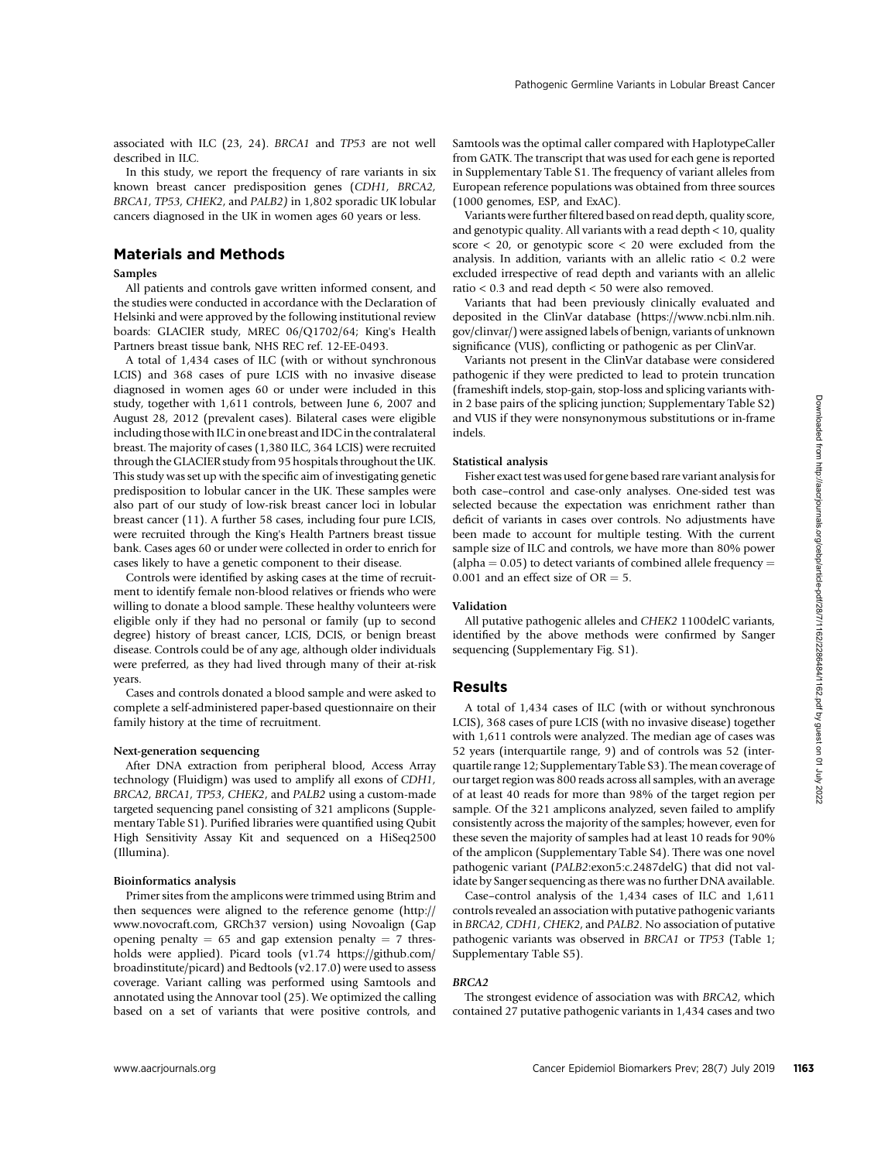described in ILC. In this study, we report the frequency of rare variants in six known breast cancer predisposition genes (CDH1, BRCA2, BRCA1, TP53, CHEK2, and PALB2) in 1,802 sporadic UK lobular cancers diagnosed in the UK in women ages 60 years or less.

# Materials and Methods

## Samples

All patients and controls gave written informed consent, and the studies were conducted in accordance with the Declaration of Helsinki and were approved by the following institutional review boards: GLACIER study, MREC 06/Q1702/64; King's Health Partners breast tissue bank, NHS REC ref. 12-EE-0493.

A total of 1,434 cases of ILC (with or without synchronous LCIS) and 368 cases of pure LCIS with no invasive disease diagnosed in women ages 60 or under were included in this study, together with 1,611 controls, between June 6, 2007 and August 28, 2012 (prevalent cases). Bilateral cases were eligible including those with ILC in one breast and IDC in the contralateral breast. The majority of cases (1,380 ILC, 364 LCIS) were recruited through the GLACIER study from 95 hospitals throughout the UK. This study was set up with the specific aim of investigating genetic predisposition to lobular cancer in the UK. These samples were also part of our study of low-risk breast cancer loci in lobular breast cancer (11). A further 58 cases, including four pure LCIS, were recruited through the King's Health Partners breast tissue bank. Cases ages 60 or under were collected in order to enrich for cases likely to have a genetic component to their disease.

Controls were identified by asking cases at the time of recruitment to identify female non-blood relatives or friends who were willing to donate a blood sample. These healthy volunteers were eligible only if they had no personal or family (up to second degree) history of breast cancer, LCIS, DCIS, or benign breast disease. Controls could be of any age, although older individuals were preferred, as they had lived through many of their at-risk years.

Cases and controls donated a blood sample and were asked to complete a self-administered paper-based questionnaire on their family history at the time of recruitment.

### Next-generation sequencing

After DNA extraction from peripheral blood, Access Array technology (Fluidigm) was used to amplify all exons of CDH1, BRCA2, BRCA1, TP53, CHEK2, and PALB2 using a custom-made targeted sequencing panel consisting of 321 amplicons (Supplementary Table S1). Purified libraries were quantified using Qubit High Sensitivity Assay Kit and sequenced on a HiSeq2500 (Illumina).

#### Bioinformatics analysis

Primer sites from the amplicons were trimmed using Btrim and then sequences were aligned to the reference genome ([http://](http://www.novocraft.com) [www.novocraft.com,](http://www.novocraft.com) GRCh37 version) using Novoalign (Gap opening penalty  $= 65$  and gap extension penalty  $= 7$  thresholds were applied). Picard tools (v1.74 [https://github.com/](https://github.com/broadinstitute/picard) [broadinstitute/picard](https://github.com/broadinstitute/picard)) and Bedtools (v2.17.0) were used to assess coverage. Variant calling was performed using Samtools and annotated using the Annovar tool (25). We optimized the calling based on a set of variants that were positive controls, and Samtools was the optimal caller compared with HaplotypeCaller from GATK. The transcript that was used for each gene is reported in Supplementary Table S1. The frequency of variant alleles from European reference populations was obtained from three sources (1000 genomes, ESP, and ExAC).

Variants were further filtered based on read depth, quality score, and genotypic quality. All variants with a read depth < 10, quality score  $<$  20, or genotypic score  $<$  20 were excluded from the analysis. In addition, variants with an allelic ratio < 0.2 were excluded irrespective of read depth and variants with an allelic ratio < 0.3 and read depth < 50 were also removed.

Variants that had been previously clinically evaluated and deposited in the ClinVar database [\(https://www.ncbi.nlm.nih.](https://www.ncbi.nlm.nih.gov/clinvar/) [gov/clinvar/\)](https://www.ncbi.nlm.nih.gov/clinvar/) were assigned labels of benign, variants of unknown significance (VUS), conflicting or pathogenic as per ClinVar.

Variants not present in the ClinVar database were considered pathogenic if they were predicted to lead to protein truncation (frameshift indels, stop-gain, stop-loss and splicing variants within 2 base pairs of the splicing junction; Supplementary Table S2) and VUS if they were nonsynonymous substitutions or in-frame indels.

# Statistical analysis

Fisher exact test was used for gene based rare variant analysis for both case–control and case-only analyses. One-sided test was selected because the expectation was enrichment rather than deficit of variants in cases over controls. No adjustments have been made to account for multiple testing. With the current sample size of ILC and controls, we have more than 80% power (alpha  $= 0.05$ ) to detect variants of combined allele frequency  $=$ 0.001 and an effect size of  $OR = 5$ .

#### Validation

All putative pathogenic alleles and CHEK2 1100delC variants, identified by the above methods were confirmed by Sanger sequencing (Supplementary Fig. S1).

## Results

A total of 1,434 cases of ILC (with or without synchronous LCIS), 368 cases of pure LCIS (with no invasive disease) together with 1,611 controls were analyzed. The median age of cases was 52 years (interquartile range, 9) and of controls was 52 (interquartile range 12; Supplementary Table S3). The mean coverage of our target region was 800 reads across all samples, with an average of at least 40 reads for more than 98% of the target region per sample. Of the 321 amplicons analyzed, seven failed to amplify consistently across the majority of the samples; however, even for these seven the majority of samples had at least 10 reads for 90% of the amplicon (Supplementary Table S4). There was one novel pathogenic variant (PALB2:exon5:c.2487delG) that did not validate by Sanger sequencing as there was no further DNA available.

Case–control analysis of the 1,434 cases of ILC and 1,611 controls revealed an association with putative pathogenic variants in BRCA2, CDH1, CHEK2, and PALB2. No association of putative pathogenic variants was observed in BRCA1 or TP53 (Table 1; Supplementary Table S5).

## BRCA2

The strongest evidence of association was with BRCA2, which contained 27 putative pathogenic variants in 1,434 cases and two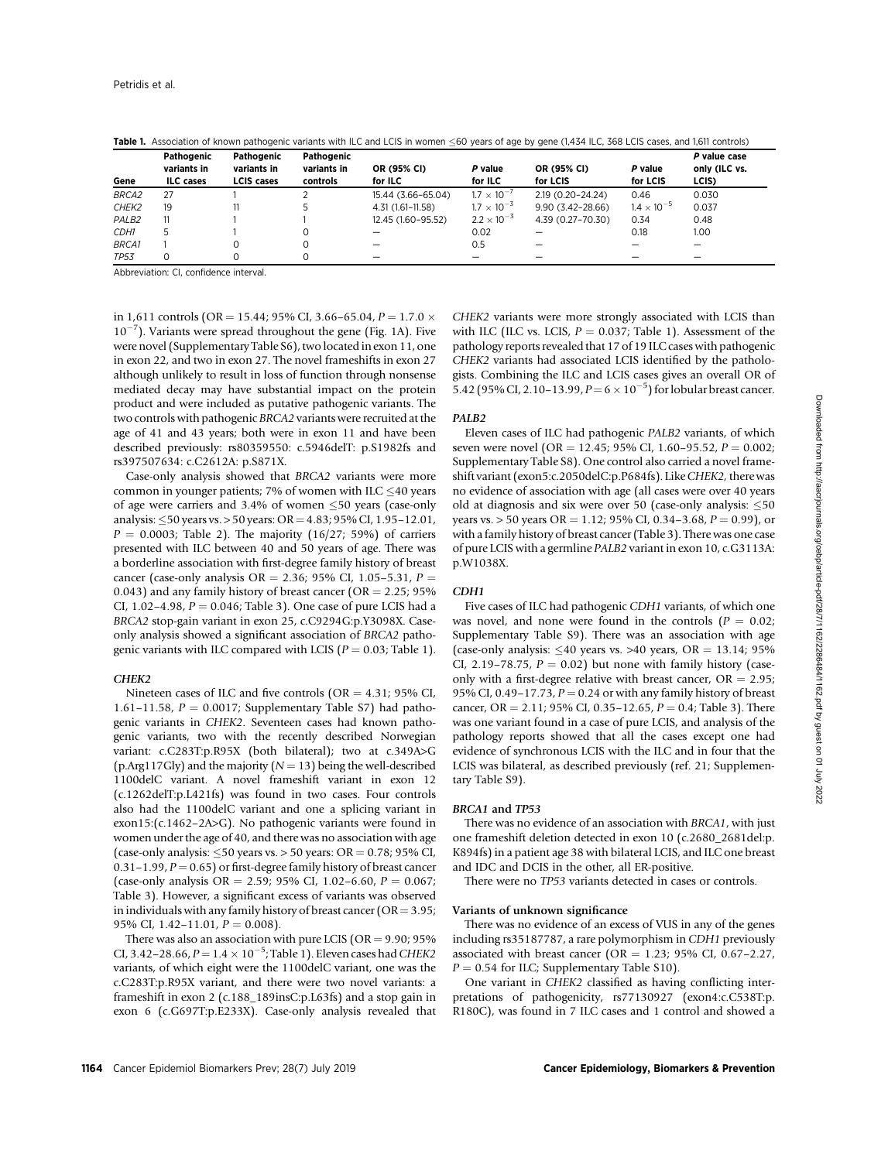|                   | Pathogenic<br>variants in | Pathogenic<br>variants in | Pathogenic<br>variants in | OR (95% CI)        | P value              | <b>OR (95% CI)</b>       | P value              | P value case<br>only (ILC vs. |
|-------------------|---------------------------|---------------------------|---------------------------|--------------------|----------------------|--------------------------|----------------------|-------------------------------|
| Gene              | <b>ILC</b> cases          | <b>LCIS</b> cases         | controls                  | for ILC            | for ILC              | for LCIS                 | for LCIS             | LCIS)                         |
| <b>BRCA2</b>      | 27                        |                           |                           | 15.44 (3.66-65.04) | $1.7 \times 10^{-7}$ | 2.19 (0.20-24.24)        | 0.46                 | 0.030                         |
| CHEK2             | 19                        |                           |                           | 4.31 (1.61-11.58)  | $1.7 \times 10^{-3}$ | $9.90(3.42 - 28.66)$     | $1.4 \times 10^{-5}$ | 0.037                         |
| PALB <sub>2</sub> | 11                        |                           |                           | 12.45 (1.60-95.52) | $2.2 \times 10^{-3}$ | 4.39 (0.27-70.30)        | 0.34                 | 0.48                          |
| CDH1              | 5                         |                           | 0                         |                    | 0.02                 |                          | 0.18                 | 1.00                          |
| <b>BRCA1</b>      |                           |                           | 0                         |                    | 0.5                  | $\overline{\phantom{m}}$ |                      | –                             |
| <b>TP53</b>       | $\Omega$                  |                           | 0                         |                    |                      |                          |                      |                               |

Table 1. Association of known pathogenic variants with ILC and LCIS in women  $\leq$ 60 years of age by gene (1,434 ILC, 368 LCIS cases, and 1,611 controls)

Abbreviation: CI, confidence interval.

in 1,611 controls (OR = 15.44; 95% CI, 3.66–65.04,  $P = 1.7.0 \times$  $10^{-7}$ ). Variants were spread throughout the gene (Fig. 1A). Five were novel (Supplementary Table S6), two located in exon 11, one in exon 22, and two in exon 27. The novel frameshifts in exon 27 although unlikely to result in loss of function through nonsense mediated decay may have substantial impact on the protein product and were included as putative pathogenic variants. The two controls with pathogenic BRCA2 variants were recruited at the age of 41 and 43 years; both were in exon 11 and have been described previously: rs80359550: c.5946delT: p.S1982fs and rs397507634: c.C2612A: p.S871X.

Case-only analysis showed that BRCA2 variants were more common in younger patients; 7% of women with ILC  $\leq$ 40 years of age were carriers and 3.4% of women  $\leq 50$  years (case-only analysis:  $\leq$ 50 years vs. > 50 years: OR = 4.83; 95% CI, 1.95–12.01,  $P = 0.0003$ ; Table 2). The majority (16/27; 59%) of carriers presented with ILC between 40 and 50 years of age. There was a borderline association with first-degree family history of breast cancer (case-only analysis  $OR = 2.36$ ; 95% CI, 1.05–5.31,  $P =$ 0.043) and any family history of breast cancer ( $OR = 2.25$ ; 95% CI, 1.02–4.98,  $P = 0.046$ ; Table 3). One case of pure LCIS had a BRCA2 stop-gain variant in exon 25, c.C9294G:p.Y3098X. Caseonly analysis showed a significant association of BRCA2 pathogenic variants with ILC compared with LCIS ( $P = 0.03$ ; Table 1).

#### CHEK<sub>2</sub>

Nineteen cases of ILC and five controls ( $OR = 4.31$ ; 95% CI, 1.61–11.58,  $P = 0.0017$ ; Supplementary Table S7) had pathogenic variants in CHEK2. Seventeen cases had known pathogenic variants, two with the recently described Norwegian variant: c.C283T:p.R95X (both bilateral); two at c.349A>G (p.Arg117Gly) and the majority ( $N = 13$ ) being the well-described 1100delC variant. A novel frameshift variant in exon 12 (c.1262delT:p.L421fs) was found in two cases. Four controls also had the 1100delC variant and one a splicing variant in exon15:(c.1462–2A>G). No pathogenic variants were found in women under the age of 40, and there was no association with age (case-only analysis:  $\leq$  50 years vs. > 50 years: OR = 0.78; 95% CI, 0.31–1.99,  $P = 0.65$ ) or first-degree family history of breast cancer (case-only analysis OR = 2.59; 95% CI, 1.02-6.60,  $P = 0.067$ ; Table 3). However, a significant excess of variants was observed in individuals with any family history of breast cancer ( $OR = 3.95$ ; 95% CI,  $1.42-11.01$ ,  $P = 0.008$ ).

There was also an association with pure LCIS ( $OR = 9.90$ ;  $95\%$ CI, 3.42–28.66,  $P = 1.4 \times 10^{-5}$ ; Table 1). Eleven cases had CHEK2 variants, of which eight were the 1100delC variant, one was the c.C283T:p.R95X variant, and there were two novel variants: a frameshift in exon 2 (c.188\_189insC:p.L63fs) and a stop gain in exon 6 (c.G697T:p.E233X). Case-only analysis revealed that CHEK2 variants were more strongly associated with LCIS than with ILC (ILC vs. LCIS,  $P = 0.037$ ; Table 1). Assessment of the pathology reports revealed that 17 of 19 ILC cases with pathogenic CHEK2 variants had associated LCIS identified by the pathologists. Combining the ILC and LCIS cases gives an overall OR of 5.42 (95% CI, 2.10–13.99,  $P = 6 \times 10^{-5}$ ) for lobular breast cancer.

#### PALB2

Eleven cases of ILC had pathogenic PALB2 variants, of which seven were novel (OR = 12.45; 95% CI, 1.60–95.52,  $P = 0.002$ ; Supplementary Table S8). One control also carried a novel frameshift variant (exon5:c.2050delC:p.P684fs). Like CHEK2, there was no evidence of association with age (all cases were over 40 years old at diagnosis and six were over 50 (case-only analysis:  $\leq$  50 years vs.  $> 50$  years OR = 1.12; 95% CI, 0.34–3.68, P = 0.99), or with a family history of breast cancer (Table 3). There was one case of pure LCIS with a germline PALB2 variant in exon 10, c.G3113A: p.W1038X.

#### CDH1

Five cases of ILC had pathogenic CDH1 variants, of which one was novel, and none were found in the controls ( $P = 0.02$ ; Supplementary Table S9). There was an association with age (case-only analysis:  $\leq 40$  years vs.  $>40$  years, OR = 13.14; 95% CI, 2.19–78.75,  $P = 0.02$ ) but none with family history (caseonly with a first-degree relative with breast cancer,  $OR = 2.95$ ; 95% CI, 0.49–17.73,  $P = 0.24$  or with any family history of breast cancer, OR = 2.11; 95% CI, 0.35-12.65,  $P = 0.4$ ; Table 3). There was one variant found in a case of pure LCIS, and analysis of the pathology reports showed that all the cases except one had evidence of synchronous LCIS with the ILC and in four that the LCIS was bilateral, as described previously (ref. 21; Supplementary Table S9).

#### BRCA1 and TP53

There was no evidence of an association with BRCA1, with just one frameshift deletion detected in exon 10 (c.2680\_2681del:p. K894fs) in a patient age 38 with bilateral LCIS, and ILC one breast and IDC and DCIS in the other, all ER-positive.

There were no TP53 variants detected in cases or controls.

## Variants of unknown significance

There was no evidence of an excess of VUS in any of the genes including rs35187787, a rare polymorphism in CDH1 previously associated with breast cancer (OR = 1.23; 95% CI, 0.67-2.27,  $P = 0.54$  for ILC; Supplementary Table S10).

One variant in CHEK2 classified as having conflicting interpretations of pathogenicity, rs77130927 (exon4:c.C538T:p. R180C), was found in 7 ILC cases and 1 control and showed a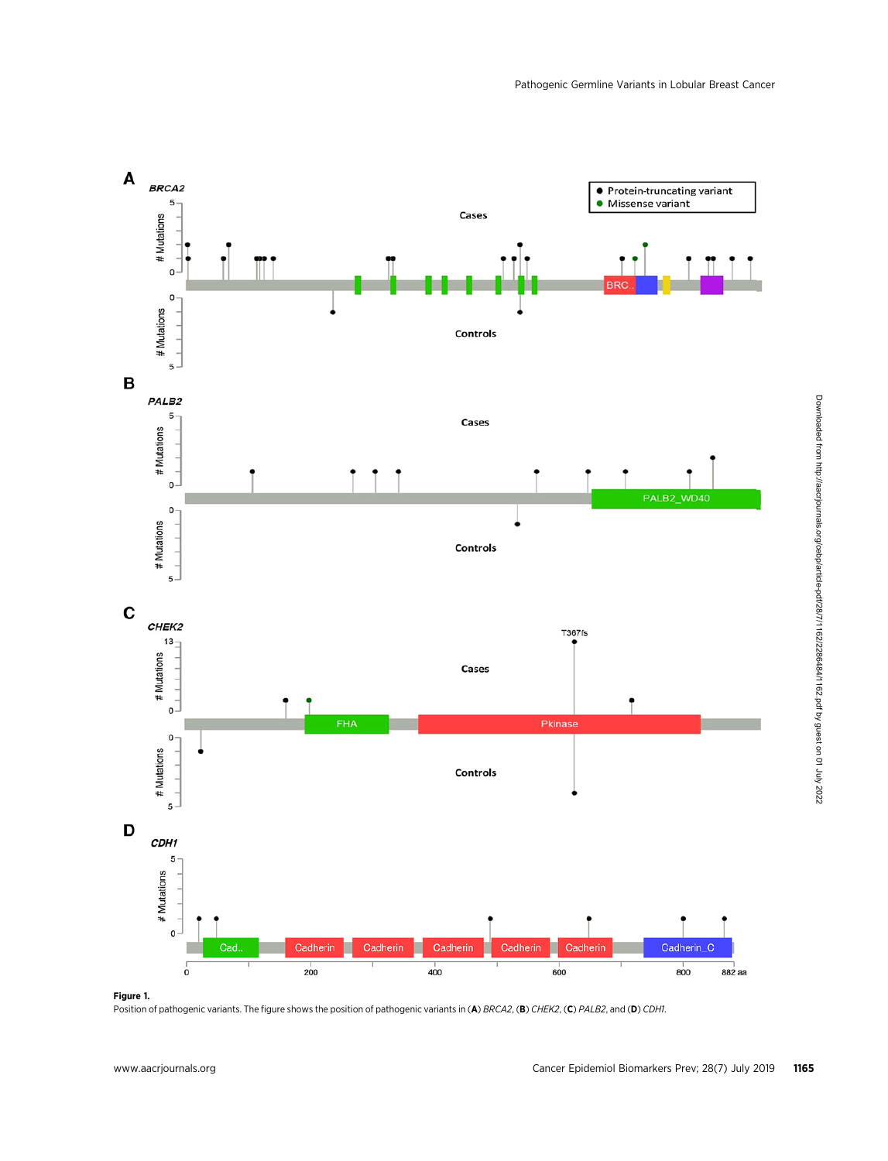

Figure 1.

Position of pathogenic variants. The figure shows the position of pathogenic variants in (A) BRCA2, (B) CHEK2, (C) PALB2, and (D) CDH1.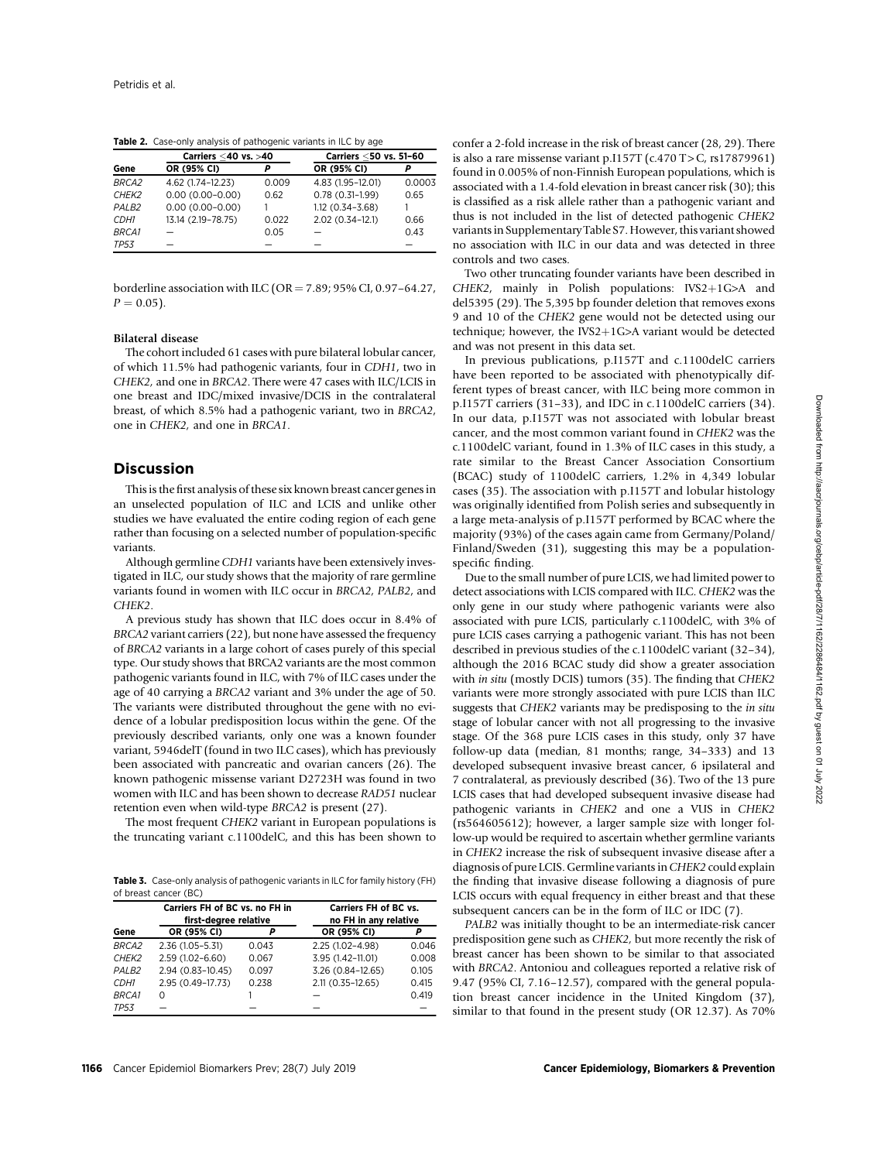Table 2. Case-only analysis of pathogenic variants in ILC by age

|                   | Carriers <40 vs. >40 |       | Carriers <50 vs. 51-60 |        |
|-------------------|----------------------|-------|------------------------|--------|
| Gene              | OR (95% CI)          |       | OR (95% CI)            | p      |
| BRCA2             | 4.62 (1.74-12.23)    | 0.009 | 4.83 (1.95-12.01)      | 0.0003 |
| CHEK <sub>2</sub> | $0.00(0.00 - 0.00)$  | 0.62  | $0.78(0.31-1.99)$      | 0.65   |
| PALB <sub>2</sub> | $0.00(0.00 - 0.00)$  |       | 1.12 (0.34-3.68)       |        |
| CDH1              | 13.14 (2.19-78.75)   | 0.022 | 2.02 (0.34-12.1)       | 0.66   |
| <b>BRCA1</b>      |                      | 0.05  |                        | 0.43   |
| <b>TP53</b>       |                      |       |                        |        |

borderline association with ILC (OR =  $7.89$ ; 95% CI, 0.97-64.27,  $P = 0.05$ ).

# Bilateral disease

The cohort included 61 cases with pure bilateral lobular cancer, of which 11.5% had pathogenic variants, four in CDH1, two in CHEK2, and one in BRCA2. There were 47 cases with ILC/LCIS in one breast and IDC/mixed invasive/DCIS in the contralateral breast, of which 8.5% had a pathogenic variant, two in BRCA2, one in CHEK2, and one in BRCA1.

# Discussion

This is the first analysis of these six known breast cancer genes in an unselected population of ILC and LCIS and unlike other studies we have evaluated the entire coding region of each gene rather than focusing on a selected number of population-specific variants.

Although germline CDH1 variants have been extensively investigated in ILC, our study shows that the majority of rare germline variants found in women with ILC occur in BRCA2, PALB2, and CHEK2.

A previous study has shown that ILC does occur in 8.4% of BRCA2 variant carriers (22), but none have assessed the frequency of BRCA2 variants in a large cohort of cases purely of this special type. Our study shows that BRCA2 variants are the most common pathogenic variants found in ILC, with 7% of ILC cases under the age of 40 carrying a BRCA2 variant and 3% under the age of 50. The variants were distributed throughout the gene with no evidence of a lobular predisposition locus within the gene. Of the previously described variants, only one was a known founder variant, 5946delT (found in two ILC cases), which has previously been associated with pancreatic and ovarian cancers (26). The known pathogenic missense variant D2723H was found in two women with ILC and has been shown to decrease RAD51 nuclear retention even when wild-type BRCA2 is present (27).

The most frequent CHEK2 variant in European populations is the truncating variant c.1100delC, and this has been shown to

Table 3. Case-only analysis of pathogenic variants in ILC for family history (FH) of breast cancer (BC)

|                   | Carriers FH of BC vs. no FH in<br>first-degree relative |       | <b>Carriers FH of BC vs.</b><br>no FH in any relative |       |  |
|-------------------|---------------------------------------------------------|-------|-------------------------------------------------------|-------|--|
| Gene              | OR (95% CI)                                             |       | OR (95% CI)                                           | Р     |  |
| <b>BRCA2</b>      | 2.36 (1.05-5.31)                                        | 0.043 | 2.25 (1.02-4.98)                                      | 0.046 |  |
| CHEK <sub>2</sub> | 2.59 (1.02-6.60)                                        | 0.067 | 3.95 (1.42-11.01)                                     | 0.008 |  |
| PALB <sub>2</sub> | 2.94 (0.83-10.45)                                       | 0.097 | 3.26 (0.84-12.65)                                     | 0.105 |  |
| CDH1              | 2.95 (0.49-17.73)                                       | 0.238 | 2.11 (0.35-12.65)                                     | 0.415 |  |
| <b>BRCA1</b>      | Ω                                                       |       |                                                       | 0.419 |  |
| <b>TP53</b>       |                                                         |       |                                                       |       |  |

confer a 2-fold increase in the risk of breast cancer (28, 29). There is also a rare missense variant p.I157T (c.470 T > C,  $rs17879961$ ) found in 0.005% of non-Finnish European populations, which is associated with a 1.4-fold elevation in breast cancer risk (30); this is classified as a risk allele rather than a pathogenic variant and thus is not included in the list of detected pathogenic CHEK2 variants in Supplementary Table S7. However, this variant showed no association with ILC in our data and was detected in three controls and two cases.

Two other truncating founder variants have been described in  $CHEK2$ , mainly in Polish populations:  $IVS2+1G>A$  and del5395 (29). The 5,395 bp founder deletion that removes exons 9 and 10 of the CHEK2 gene would not be detected using our technique; however, the IVS2+1G>A variant would be detected and was not present in this data set.

In previous publications, p.I157T and c.1100delC carriers have been reported to be associated with phenotypically different types of breast cancer, with ILC being more common in p.I157T carriers (31–33), and IDC in c.1100delC carriers (34). In our data, p.I157T was not associated with lobular breast cancer, and the most common variant found in CHEK2 was the c.1100delC variant, found in 1.3% of ILC cases in this study, a rate similar to the Breast Cancer Association Consortium (BCAC) study of 1100delC carriers, 1.2% in 4,349 lobular cases (35). The association with p.I157T and lobular histology was originally identified from Polish series and subsequently in a large meta-analysis of p.I157T performed by BCAC where the majority (93%) of the cases again came from Germany/Poland/ Finland/Sweden (31), suggesting this may be a populationspecific finding.

Due to the small number of pure LCIS, we had limited power to detect associations with LCIS compared with ILC. CHEK2 was the only gene in our study where pathogenic variants were also associated with pure LCIS, particularly c.1100delC, with 3% of pure LCIS cases carrying a pathogenic variant. This has not been described in previous studies of the c.1100delC variant (32–34), although the 2016 BCAC study did show a greater association with in situ (mostly DCIS) tumors (35). The finding that CHEK2 variants were more strongly associated with pure LCIS than ILC suggests that CHEK2 variants may be predisposing to the in situ stage of lobular cancer with not all progressing to the invasive stage. Of the 368 pure LCIS cases in this study, only 37 have follow-up data (median, 81 months; range, 34–333) and 13 developed subsequent invasive breast cancer, 6 ipsilateral and 7 contralateral, as previously described (36). Two of the 13 pure LCIS cases that had developed subsequent invasive disease had pathogenic variants in CHEK2 and one a VUS in CHEK2 (rs564605612); however, a larger sample size with longer follow-up would be required to ascertain whether germline variants in CHEK2 increase the risk of subsequent invasive disease after a diagnosis of pure LCIS. Germline variants inCHEK2 could explain the finding that invasive disease following a diagnosis of pure LCIS occurs with equal frequency in either breast and that these subsequent cancers can be in the form of ILC or IDC (7).

PALB2 was initially thought to be an intermediate-risk cancer predisposition gene such as CHEK2, but more recently the risk of breast cancer has been shown to be similar to that associated with BRCA2. Antoniou and colleagues reported a relative risk of 9.47 (95% CI, 7.16–12.57), compared with the general population breast cancer incidence in the United Kingdom (37), similar to that found in the present study (OR 12.37). As 70%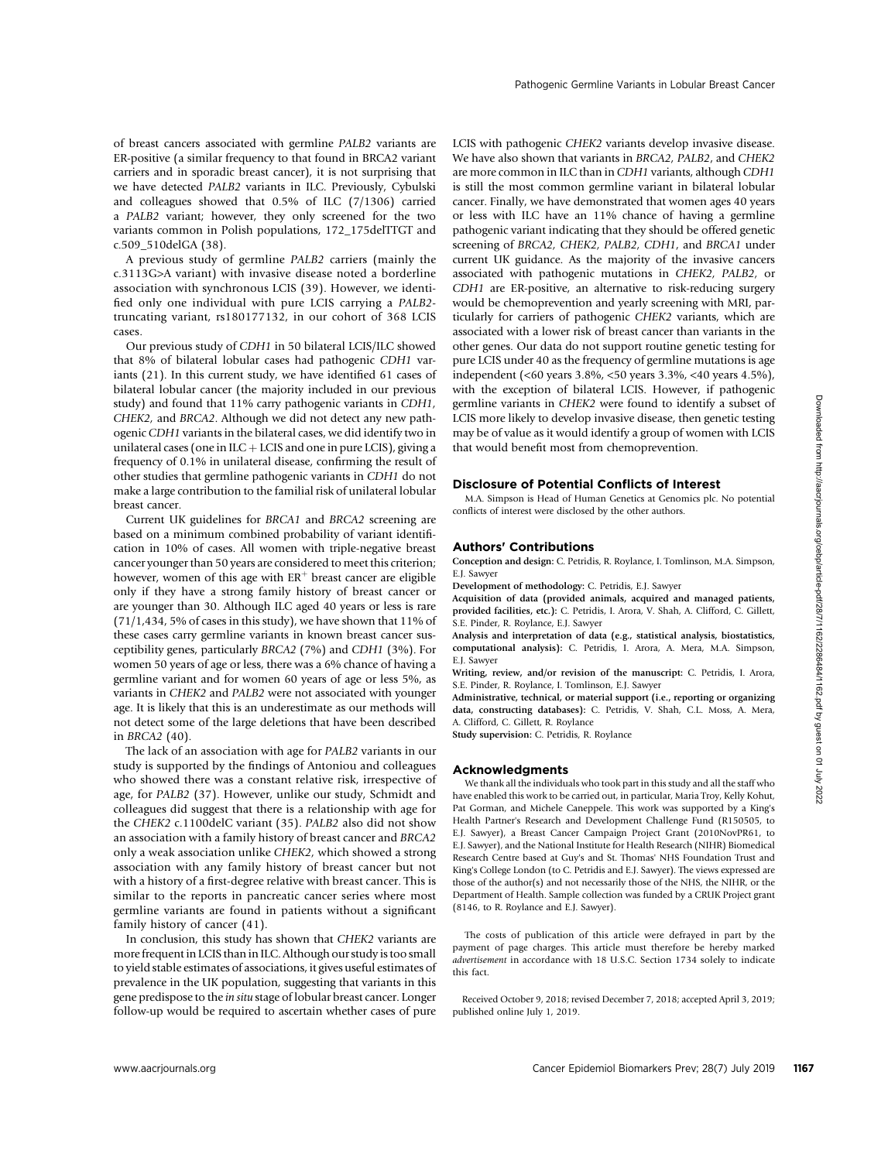of breast cancers associated with germline PALB2 variants are ER-positive (a similar frequency to that found in BRCA2 variant carriers and in sporadic breast cancer), it is not surprising that we have detected PALB2 variants in ILC. Previously, Cybulski and colleagues showed that 0.5% of ILC (7/1306) carried a PALB2 variant; however, they only screened for the two variants common in Polish populations, 172\_175delTTGT and c.509\_510delGA (38).

A previous study of germline PALB2 carriers (mainly the c.3113G>A variant) with invasive disease noted a borderline association with synchronous LCIS (39). However, we identified only one individual with pure LCIS carrying a PALB2 truncating variant, rs180177132, in our cohort of 368 LCIS cases.

Our previous study of CDH1 in 50 bilateral LCIS/ILC showed that 8% of bilateral lobular cases had pathogenic CDH1 variants (21). In this current study, we have identified 61 cases of bilateral lobular cancer (the majority included in our previous study) and found that 11% carry pathogenic variants in CDH1, CHEK2, and BRCA2. Although we did not detect any new pathogenic CDH1 variants in the bilateral cases, we did identify two in unilateral cases (one in  $ILC + LCIS$  and one in pure LCIS), giving a frequency of 0.1% in unilateral disease, confirming the result of other studies that germline pathogenic variants in CDH1 do not make a large contribution to the familial risk of unilateral lobular breast cancer.

Current UK guidelines for BRCA1 and BRCA2 screening are based on a minimum combined probability of variant identification in 10% of cases. All women with triple-negative breast cancer younger than 50 years are considered to meet this criterion; however, women of this age with  $\mathrm{ER}^+$  breast cancer are eligible only if they have a strong family history of breast cancer or are younger than 30. Although ILC aged 40 years or less is rare  $(71/1,434, 5\%$  of cases in this study), we have shown that 11% of these cases carry germline variants in known breast cancer susceptibility genes, particularly BRCA2 (7%) and CDH1 (3%). For women 50 years of age or less, there was a 6% chance of having a germline variant and for women 60 years of age or less 5%, as variants in CHEK2 and PALB2 were not associated with younger age. It is likely that this is an underestimate as our methods will not detect some of the large deletions that have been described in BRCA2 (40).

The lack of an association with age for PALB2 variants in our study is supported by the findings of Antoniou and colleagues who showed there was a constant relative risk, irrespective of age, for PALB2 (37). However, unlike our study, Schmidt and colleagues did suggest that there is a relationship with age for the CHEK2 c.1100delC variant (35). PALB2 also did not show an association with a family history of breast cancer and BRCA2 only a weak association unlike CHEK2, which showed a strong association with any family history of breast cancer but not with a history of a first-degree relative with breast cancer. This is similar to the reports in pancreatic cancer series where most germline variants are found in patients without a significant family history of cancer (41).

In conclusion, this study has shown that CHEK2 variants are more frequent in LCIS than in ILC. Although our study is too small to yield stable estimates of associations, it gives useful estimates of prevalence in the UK population, suggesting that variants in this gene predispose to the in situ stage of lobular breast cancer. Longer follow-up would be required to ascertain whether cases of pure LCIS with pathogenic CHEK2 variants develop invasive disease. We have also shown that variants in BRCA2, PALB2, and CHEK2 are more common in ILC than in CDH1 variants, although CDH1 is still the most common germline variant in bilateral lobular cancer. Finally, we have demonstrated that women ages 40 years or less with ILC have an 11% chance of having a germline pathogenic variant indicating that they should be offered genetic screening of BRCA2, CHEK2, PALB2, CDH1, and BRCA1 under current UK guidance. As the majority of the invasive cancers associated with pathogenic mutations in CHEK2, PALB2, or CDH1 are ER-positive, an alternative to risk-reducing surgery would be chemoprevention and yearly screening with MRI, particularly for carriers of pathogenic CHEK2 variants, which are associated with a lower risk of breast cancer than variants in the other genes. Our data do not support routine genetic testing for pure LCIS under 40 as the frequency of germline mutations is age independent (<60 years 3.8%, <50 years 3.3%, <40 years 4.5%), with the exception of bilateral LCIS. However, if pathogenic germline variants in CHEK2 were found to identify a subset of LCIS more likely to develop invasive disease, then genetic testing may be of value as it would identify a group of women with LCIS that would benefit most from chemoprevention.

#### Disclosure of Potential Conflicts of Interest

M.A. Simpson is Head of Human Genetics at Genomics plc. No potential conflicts of interest were disclosed by the other authors.

#### Authors' Contributions

Conception and design: C. Petridis, R. Roylance, I. Tomlinson, M.A. Simpson, E.J. Sawyer

Development of methodology: C. Petridis, E.J. Sawyer

Acquisition of data (provided animals, acquired and managed patients, provided facilities, etc.): C. Petridis, I. Arora, V. Shah, A. Clifford, C. Gillett, S.E. Pinder, R. Roylance, E.J. Sawyer

Analysis and interpretation of data (e.g., statistical analysis, biostatistics, computational analysis): C. Petridis, I. Arora, A. Mera, M.A. Simpson, E.J. Sawyer

Writing, review, and/or revision of the manuscript: C. Petridis, I. Arora, S.E. Pinder, R. Roylance, I. Tomlinson, E.J. Sawyer

Administrative, technical, or material support (i.e., reporting or organizing data, constructing databases): C. Petridis, V. Shah, C.L. Moss, A. Mera, A. Clifford, C. Gillett, R. Roylance

Study supervision: C. Petridis, R. Roylance

#### Acknowledgments

We thank all the individuals who took part in this study and all the staff who have enabled this work to be carried out, in particular, Maria Troy, Kelly Kohut, Pat Gorman, and Michele Caneppele. This work was supported by a King's Health Partner's Research and Development Challenge Fund (R150505, to E.J. Sawyer), a Breast Cancer Campaign Project Grant (2010NovPR61, to E.J. Sawyer), and the National Institute for Health Research (NIHR) Biomedical Research Centre based at Guy's and St. Thomas' NHS Foundation Trust and King's College London (to C. Petridis and E.J. Sawyer). The views expressed are those of the author(s) and not necessarily those of the NHS, the NIHR, or the Department of Health. Sample collection was funded by a CRUK Project grant (8146, to R. Roylance and E.J. Sawyer).

The costs of publication of this article were defrayed in part by the payment of page charges. This article must therefore be hereby marked advertisement in accordance with 18 U.S.C. Section 1734 solely to indicate this fact.

Received October 9, 2018; revised December 7, 2018; accepted April 3, 2019; published online July 1, 2019.